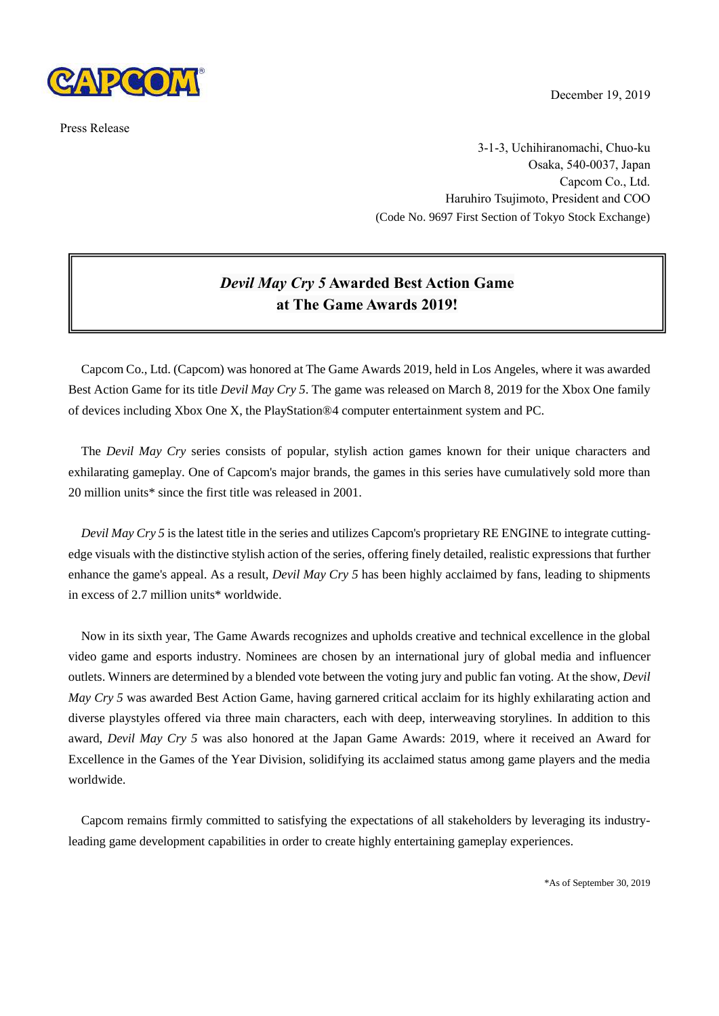

Press Release

December 19, 2019

3-1-3, Uchihiranomachi, Chuo-ku Osaka, 540-0037, Japan Capcom Co., Ltd. Haruhiro Tsujimoto, President and COO (Code No. 9697 First Section of Tokyo Stock Exchange)

## *Devil May Cry 5* **Awarded Best Action Game at The Game Awards 2019!**

Capcom Co., Ltd. (Capcom) was honored at The Game Awards 2019, held in Los Angeles, where it was awarded Best Action Game for its title *Devil May Cry 5*. The game was released on March 8, 2019 for the Xbox One family of devices including Xbox One X, the PlayStation®4 computer entertainment system and PC.

The *Devil May Cry* series consists of popular, stylish action games known for their unique characters and exhilarating gameplay. One of Capcom's major brands, the games in this series have cumulatively sold more than 20 million units\* since the first title was released in 2001.

*Devil May Cry 5* is the latest title in the series and utilizes Capcom's proprietary RE ENGINE to integrate cuttingedge visuals with the distinctive stylish action of the series, offering finely detailed, realistic expressions that further enhance the game's appeal. As a result, *Devil May Cry 5* has been highly acclaimed by fans, leading to shipments in excess of 2.7 million units\* worldwide.

Now in its sixth year, The Game Awards recognizes and upholds creative and technical excellence in the global video game and esports industry. Nominees are chosen by an international jury of global media and influencer outlets. Winners are determined by a blended vote between the voting jury and public fan voting. At the show, *Devil May Cry 5* was awarded Best Action Game, having garnered critical acclaim for its highly exhilarating action and diverse playstyles offered via three main characters, each with deep, interweaving storylines. In addition to this award, *Devil May Cry 5* was also honored at the Japan Game Awards: 2019, where it received an Award for Excellence in the Games of the Year Division, solidifying its acclaimed status among game players and the media worldwide.

Capcom remains firmly committed to satisfying the expectations of all stakeholders by leveraging its industryleading game development capabilities in order to create highly entertaining gameplay experiences.

\*As of September 30, 2019